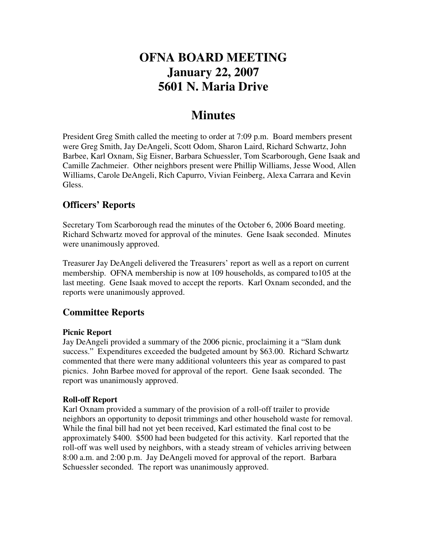# **OFNA BOARD MEETING January 22, 2007 5601 N. Maria Drive**

# **Minutes**

President Greg Smith called the meeting to order at 7:09 p.m. Board members present were Greg Smith, Jay DeAngeli, Scott Odom, Sharon Laird, Richard Schwartz, John Barbee, Karl Oxnam, Sig Eisner, Barbara Schuessler, Tom Scarborough, Gene Isaak and Camille Zachmeier. Other neighbors present were Phillip Williams, Jesse Wood, Allen Williams, Carole DeAngeli, Rich Capurro, Vivian Feinberg, Alexa Carrara and Kevin Gless.

# **Officers' Reports**

Secretary Tom Scarborough read the minutes of the October 6, 2006 Board meeting. Richard Schwartz moved for approval of the minutes. Gene Isaak seconded. Minutes were unanimously approved.

Treasurer Jay DeAngeli delivered the Treasurers' report as well as a report on current membership. OFNA membership is now at 109 households, as compared to105 at the last meeting. Gene Isaak moved to accept the reports. Karl Oxnam seconded, and the reports were unanimously approved.

## **Committee Reports**

### **Picnic Report**

Jay DeAngeli provided a summary of the 2006 picnic, proclaiming it a "Slam dunk success." Expenditures exceeded the budgeted amount by \$63.00. Richard Schwartz commented that there were many additional volunteers this year as compared to past picnics. John Barbee moved for approval of the report. Gene Isaak seconded. The report was unanimously approved.

### **Roll-off Report**

Karl Oxnam provided a summary of the provision of a roll-off trailer to provide neighbors an opportunity to deposit trimmings and other household waste for removal. While the final bill had not yet been received, Karl estimated the final cost to be approximately \$400. \$500 had been budgeted for this activity. Karl reported that the roll-off was well used by neighbors, with a steady stream of vehicles arriving between 8:00 a.m. and 2:00 p.m. Jay DeAngeli moved for approval of the report. Barbara Schuessler seconded. The report was unanimously approved.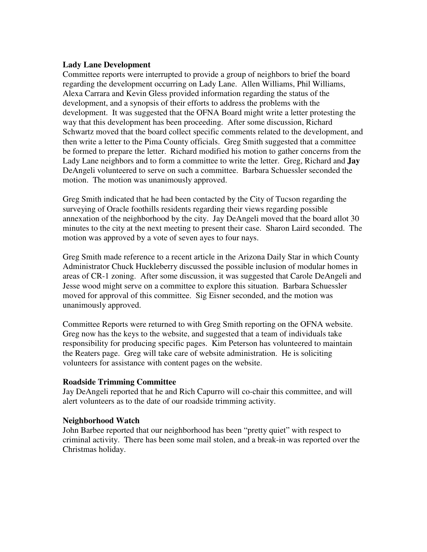#### **Lady Lane Development**

Committee reports were interrupted to provide a group of neighbors to brief the board regarding the development occurring on Lady Lane. Allen Williams, Phil Williams, Alexa Carrara and Kevin Gless provided information regarding the status of the development, and a synopsis of their efforts to address the problems with the development. It was suggested that the OFNA Board might write a letter protesting the way that this development has been proceeding. After some discussion, Richard Schwartz moved that the board collect specific comments related to the development, and then write a letter to the Pima County officials. Greg Smith suggested that a committee be formed to prepare the letter. Richard modified his motion to gather concerns from the Lady Lane neighbors and to form a committee to write the letter. Greg, Richard and **Jay** DeAngeli volunteered to serve on such a committee. Barbara Schuessler seconded the motion. The motion was unanimously approved.

Greg Smith indicated that he had been contacted by the City of Tucson regarding the surveying of Oracle foothills residents regarding their views regarding possible annexation of the neighborhood by the city. Jay DeAngeli moved that the board allot 30 minutes to the city at the next meeting to present their case. Sharon Laird seconded. The motion was approved by a vote of seven ayes to four nays.

Greg Smith made reference to a recent article in the Arizona Daily Star in which County Administrator Chuck Huckleberry discussed the possible inclusion of modular homes in areas of CR-1 zoning. After some discussion, it was suggested that Carole DeAngeli and Jesse wood might serve on a committee to explore this situation. Barbara Schuessler moved for approval of this committee. Sig Eisner seconded, and the motion was unanimously approved.

Committee Reports were returned to with Greg Smith reporting on the OFNA website. Greg now has the keys to the website, and suggested that a team of individuals take responsibility for producing specific pages. Kim Peterson has volunteered to maintain the Reaters page. Greg will take care of website administration. He is soliciting volunteers for assistance with content pages on the website.

#### **Roadside Trimming Committee**

Jay DeAngeli reported that he and Rich Capurro will co-chair this committee, and will alert volunteers as to the date of our roadside trimming activity.

#### **Neighborhood Watch**

John Barbee reported that our neighborhood has been "pretty quiet" with respect to criminal activity. There has been some mail stolen, and a break-in was reported over the Christmas holiday.